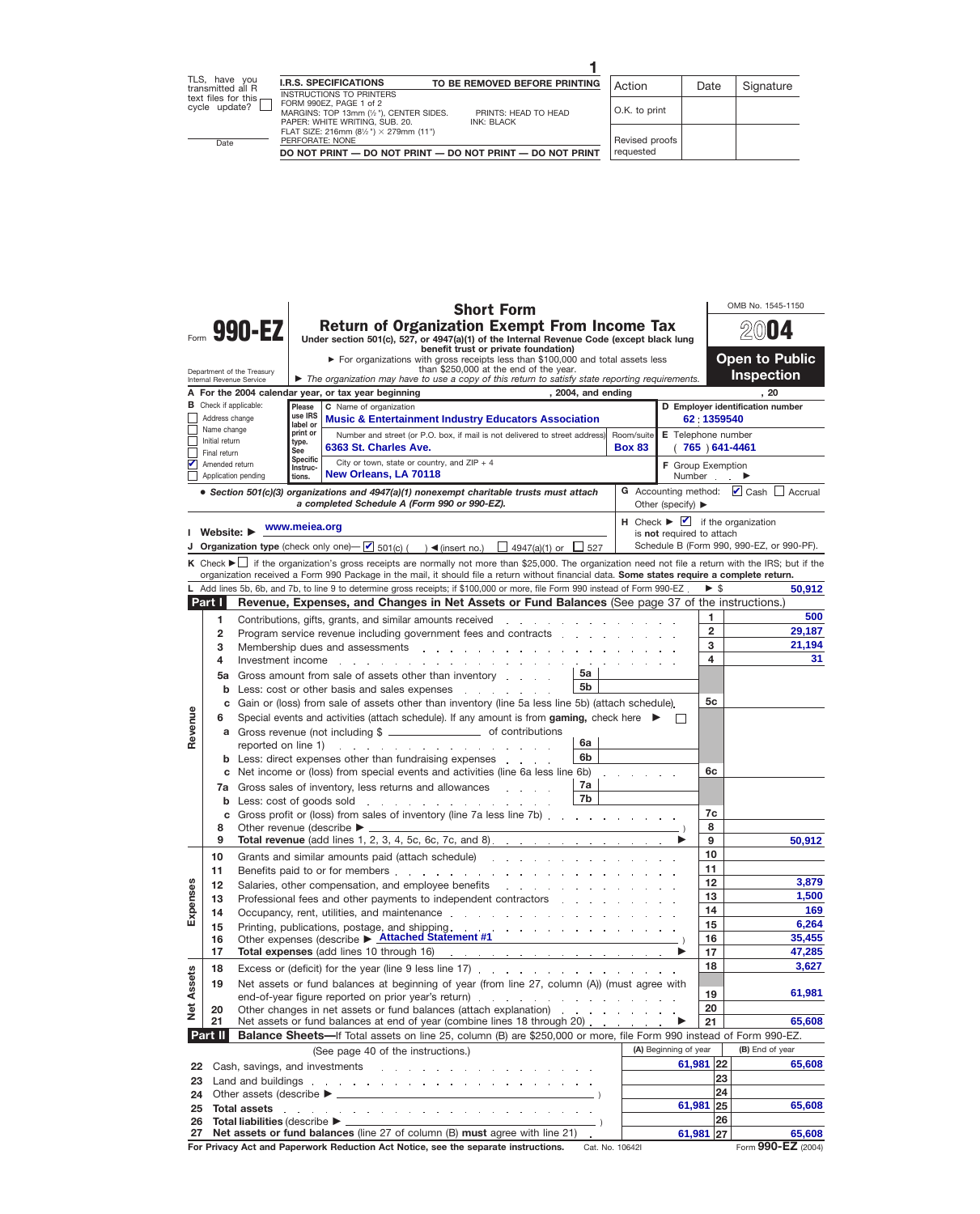|                                                                                                                                                                                                                  |                                |                                                 |                                      | <b>Short Form</b>                                                                                                                                                                                                                    |  |                                                                           |                          | OMB No. 1545-1150                         |  |  |  |  |
|------------------------------------------------------------------------------------------------------------------------------------------------------------------------------------------------------------------|--------------------------------|-------------------------------------------------|--------------------------------------|--------------------------------------------------------------------------------------------------------------------------------------------------------------------------------------------------------------------------------------|--|---------------------------------------------------------------------------|--------------------------|-------------------------------------------|--|--|--|--|
|                                                                                                                                                                                                                  |                                | 990-EZ                                          |                                      | <b>Return of Organization Exempt From Income Tax</b><br>Under section 501(c), 527, or 4947(a)(1) of the Internal Revenue Code (except black lung                                                                                     |  |                                                                           | U 4                      |                                           |  |  |  |  |
|                                                                                                                                                                                                                  |                                |                                                 |                                      | benefit trust or private foundation)<br>> For organizations with gross receipts less than \$100,000 and total assets less                                                                                                            |  |                                                                           | <b>Open to Public</b>    |                                           |  |  |  |  |
| Department of the Treasury                                                                                                                                                                                       |                                | <b>Inspection</b>                               |                                      |                                                                                                                                                                                                                                      |  |                                                                           |                          |                                           |  |  |  |  |
| The organization may have to use a copy of this return to satisfy state reporting requirements.<br>Internal Revenue Service<br>A For the 2004 calendar year, or tax year beginning<br>, 2004, and ending<br>. 20 |                                |                                                 |                                      |                                                                                                                                                                                                                                      |  |                                                                           |                          |                                           |  |  |  |  |
| <b>B</b> Check if applicable:                                                                                                                                                                                    |                                | D Employer identification number                |                                      |                                                                                                                                                                                                                                      |  |                                                                           |                          |                                           |  |  |  |  |
|                                                                                                                                                                                                                  | Address change<br>Name change  | 62:1359540                                      |                                      |                                                                                                                                                                                                                                      |  |                                                                           |                          |                                           |  |  |  |  |
|                                                                                                                                                                                                                  | Initial return                 |                                                 | E Telephone number<br>765 ) 641-4461 |                                                                                                                                                                                                                                      |  |                                                                           |                          |                                           |  |  |  |  |
|                                                                                                                                                                                                                  | Final return<br>Amended return |                                                 |                                      |                                                                                                                                                                                                                                      |  |                                                                           |                          |                                           |  |  |  |  |
|                                                                                                                                                                                                                  |                                | Application pending                             | Instruc-<br>tions.                   | City or town, state or country, and $ZIP + 4$<br>New Orleans, LA 70118                                                                                                                                                               |  | F Group Exemption<br>Number                                               |                          |                                           |  |  |  |  |
| • Section 501(c)(3) organizations and 4947(a)(1) nonexempt charitable trusts must attach                                                                                                                         |                                | G Accounting method: $\Box$ Cash $\Box$ Accrual |                                      |                                                                                                                                                                                                                                      |  |                                                                           |                          |                                           |  |  |  |  |
|                                                                                                                                                                                                                  | I Website: ▶                   |                                                 | www.meiea.org                        |                                                                                                                                                                                                                                      |  | $H$ Check $\blacktriangleright$ $\blacktriangleright$ if the organization |                          |                                           |  |  |  |  |
|                                                                                                                                                                                                                  |                                |                                                 |                                      | <b>J</b> Organization type (check only one) $\rightarrow$ 501(c) ( ) < (insert no.) $\rightarrow$ 4947(a)(1) or $\rightarrow$ 527                                                                                                    |  | is not required to attach                                                 |                          | Schedule B (Form 990, 990-EZ, or 990-PF). |  |  |  |  |
|                                                                                                                                                                                                                  |                                |                                                 |                                      | K Check $\blacktriangleright$ if the organization's gross receipts are normally not more than \$25,000. The organization need not file a return with the IRS; but if the                                                             |  |                                                                           |                          |                                           |  |  |  |  |
|                                                                                                                                                                                                                  |                                |                                                 |                                      | organization received a Form 990 Package in the mail, it should file a return without financial data. Some states require a complete return.                                                                                         |  |                                                                           |                          |                                           |  |  |  |  |
|                                                                                                                                                                                                                  |                                |                                                 |                                      | L Add lines 5b, 6b, and 7b, to line 9 to determine gross receipts; if \$100,000 or more, file Form 990 instead of Form 990-EZ.                                                                                                       |  |                                                                           | $\blacktriangleright$ \$ | 50,912                                    |  |  |  |  |
|                                                                                                                                                                                                                  | Part I                         |                                                 |                                      | Revenue, Expenses, and Changes in Net Assets or Fund Balances (See page 37 of the instructions.)                                                                                                                                     |  |                                                                           |                          |                                           |  |  |  |  |
|                                                                                                                                                                                                                  | 1                              |                                                 |                                      | Contributions, gifts, grants, and similar amounts received<br>and the company of the company of the                                                                                                                                  |  |                                                                           | 1<br>$\overline{2}$      | 500<br>29,187                             |  |  |  |  |
|                                                                                                                                                                                                                  | $\overline{2}$<br>3            |                                                 |                                      | Program service revenue including government fees and contracts<br>Membership dues and assessments and a series and a series and a series and a series are a series and a series o                                                   |  |                                                                           | 3                        | 21,194                                    |  |  |  |  |
|                                                                                                                                                                                                                  | 4                              | Investment income                               |                                      |                                                                                                                                                                                                                                      |  |                                                                           | 4                        | 31                                        |  |  |  |  |
|                                                                                                                                                                                                                  | 5a                             |                                                 |                                      | 5а<br>Gross amount from sale of assets other than inventory                                                                                                                                                                          |  |                                                                           |                          |                                           |  |  |  |  |
|                                                                                                                                                                                                                  | b                              |                                                 |                                      | 5 <sub>b</sub><br>Less: cost or other basis and sales expenses                                                                                                                                                                       |  |                                                                           |                          |                                           |  |  |  |  |
|                                                                                                                                                                                                                  | C                              |                                                 |                                      | Gain or (loss) from sale of assets other than inventory (line 5a less line 5b) (attach schedule).                                                                                                                                    |  |                                                                           | 5с                       |                                           |  |  |  |  |
| Revenue                                                                                                                                                                                                          | 6                              |                                                 |                                      | Special events and activities (attach schedule). If any amount is from gaming, check here ▶                                                                                                                                          |  |                                                                           |                          |                                           |  |  |  |  |
|                                                                                                                                                                                                                  |                                |                                                 |                                      | a Gross revenue (not including \$ _______________________ of contributions<br>6a                                                                                                                                                     |  |                                                                           |                          |                                           |  |  |  |  |
|                                                                                                                                                                                                                  |                                | reported on line 1)                             |                                      | and the second contract of the second contract of<br>6 <sub>b</sub><br><b>b</b> Less: direct expenses other than fundraising expenses                                                                                                |  |                                                                           |                          |                                           |  |  |  |  |
|                                                                                                                                                                                                                  |                                |                                                 |                                      | c Net income or (loss) from special events and activities (line 6a less line 6b)                                                                                                                                                     |  |                                                                           | 6с                       |                                           |  |  |  |  |
|                                                                                                                                                                                                                  |                                |                                                 |                                      | 7a<br>7a Gross sales of inventory, less returns and allowances                                                                                                                                                                       |  |                                                                           |                          |                                           |  |  |  |  |
|                                                                                                                                                                                                                  |                                | <b>b</b> Less: cost of goods sold               |                                      | 7b<br>and the company of the company of the company of the company of the company of the company of the company of the company of the company of the company of the company of the company of the company of the company of the comp |  |                                                                           |                          |                                           |  |  |  |  |
|                                                                                                                                                                                                                  |                                |                                                 |                                      | c Gross profit or (loss) from sales of inventory (line 7a less line 7b)                                                                                                                                                              |  |                                                                           | 7c                       |                                           |  |  |  |  |
|                                                                                                                                                                                                                  | 8<br>9                         |                                                 |                                      | Other revenue (describe ▶ ______<br><b>Total revenue</b> (add lines 1, 2, 3, 4, 5c, 6c, 7c, and 8).                                                                                                                                  |  |                                                                           | 8<br>9                   | 50,912                                    |  |  |  |  |
|                                                                                                                                                                                                                  | 10                             |                                                 |                                      | Grants and similar amounts paid (attach schedule)                                                                                                                                                                                    |  |                                                                           | 10                       |                                           |  |  |  |  |
|                                                                                                                                                                                                                  | 11                             |                                                 |                                      |                                                                                                                                                                                                                                      |  |                                                                           | 11                       |                                           |  |  |  |  |
|                                                                                                                                                                                                                  | 12                             |                                                 |                                      |                                                                                                                                                                                                                                      |  |                                                                           | 12                       | 3,879                                     |  |  |  |  |
|                                                                                                                                                                                                                  | 13                             |                                                 |                                      | Professional fees and other payments to independent contractors                                                                                                                                                                      |  |                                                                           | 13                       | 1,500                                     |  |  |  |  |
| Expenses                                                                                                                                                                                                         | 14                             |                                                 |                                      |                                                                                                                                                                                                                                      |  |                                                                           | 14<br>15                 | 169<br>6,264                              |  |  |  |  |
|                                                                                                                                                                                                                  | 15<br>16                       |                                                 |                                      | Other expenses (describe ▶ Attached Statement #1                                                                                                                                                                                     |  |                                                                           | 16                       | 35,455                                    |  |  |  |  |
|                                                                                                                                                                                                                  | 17                             |                                                 |                                      |                                                                                                                                                                                                                                      |  |                                                                           | 17                       | 47,285                                    |  |  |  |  |
|                                                                                                                                                                                                                  | 18                             |                                                 |                                      |                                                                                                                                                                                                                                      |  |                                                                           | 18                       | 3,627                                     |  |  |  |  |
| <b>Net Assets</b>                                                                                                                                                                                                | 19                             |                                                 |                                      | Net assets or fund balances at beginning of year (from line 27, column (A)) (must agree with                                                                                                                                         |  |                                                                           |                          |                                           |  |  |  |  |
|                                                                                                                                                                                                                  |                                |                                                 |                                      | end-of-year figure reported on prior year's return)                                                                                                                                                                                  |  |                                                                           | 19                       | 61,981                                    |  |  |  |  |
|                                                                                                                                                                                                                  | 20                             |                                                 |                                      |                                                                                                                                                                                                                                      |  |                                                                           | 20                       | 65,608                                    |  |  |  |  |
|                                                                                                                                                                                                                  | 21<br>Part II                  |                                                 |                                      | Net assets or fund balances at end of year (combine lines 18 through 20)<br>Balance Sheets-If Total assets on line 25, column (B) are \$250,000 or more, file Form 990 instead of Form 990-EZ.                                       |  |                                                                           | 21                       |                                           |  |  |  |  |
|                                                                                                                                                                                                                  |                                |                                                 |                                      | (See page 40 of the instructions.)                                                                                                                                                                                                   |  | (A) Beginning of year                                                     |                          | (B) End of year                           |  |  |  |  |
| 22                                                                                                                                                                                                               |                                |                                                 |                                      |                                                                                                                                                                                                                                      |  | $61,981$ 22                                                               |                          | 65,608                                    |  |  |  |  |
| 23                                                                                                                                                                                                               |                                |                                                 |                                      |                                                                                                                                                                                                                                      |  |                                                                           | 23                       |                                           |  |  |  |  |
| 24                                                                                                                                                                                                               |                                |                                                 |                                      |                                                                                                                                                                                                                                      |  |                                                                           | 24                       |                                           |  |  |  |  |
| 25                                                                                                                                                                                                               |                                | <b>Total assets</b>                             |                                      | and a series of the contract of the contract of the contract of the contract of the contract of the contract of                                                                                                                      |  | 61,981 25                                                                 |                          | 65,608                                    |  |  |  |  |
| 26                                                                                                                                                                                                               |                                |                                                 |                                      | Total liabilities (describe ▶ _________________________ )<br>27 Net assets or fund balances (line 27 of column (B) must agree with line 21).                                                                                         |  | 61,981 27                                                                 | 26                       | 65,608                                    |  |  |  |  |
|                                                                                                                                                                                                                  |                                |                                                 |                                      |                                                                                                                                                                                                                                      |  |                                                                           |                          |                                           |  |  |  |  |

**For Privacy Act and Paperwork Reduction Act Notice, see the separate instructions.**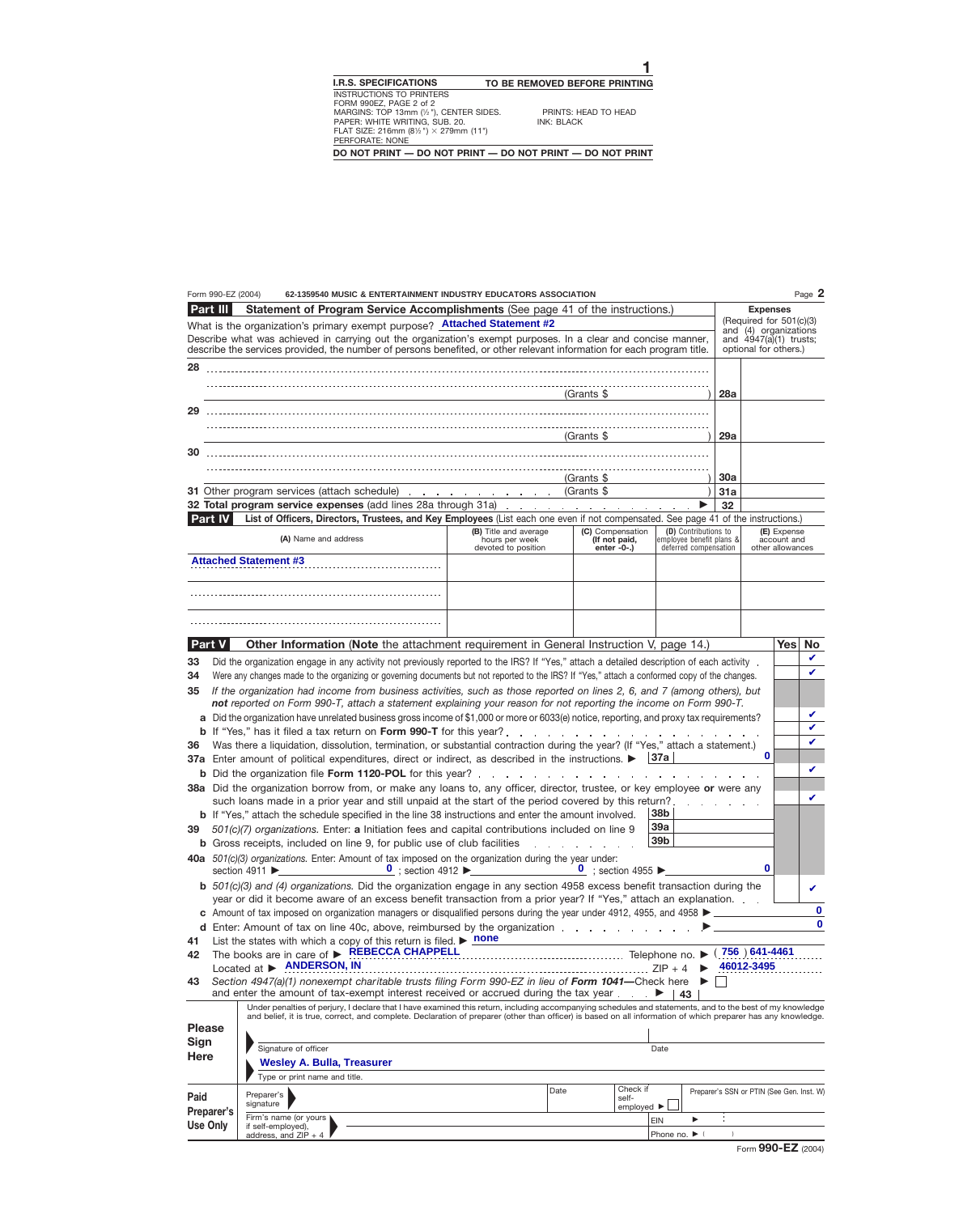|               | Form 990-EZ (2004) | 62-1359540 MUSIC & ENTERTAINMENT INDUSTRY EDUCATORS ASSOCIATION                                                                                                                                                                |                                                    |                                            |                                 |                                                   |               |                                                  |             | Page 2       |
|---------------|--------------------|--------------------------------------------------------------------------------------------------------------------------------------------------------------------------------------------------------------------------------|----------------------------------------------------|--------------------------------------------|---------------------------------|---------------------------------------------------|---------------|--------------------------------------------------|-------------|--------------|
|               | <b>Part III</b>    | Statement of Program Service Accomplishments (See page 41 of the instructions.)                                                                                                                                                |                                                    |                                            |                                 |                                                   |               | <b>Expenses</b>                                  |             |              |
|               |                    | What is the organization's primary exempt purpose? <b>Attached Statement #2</b>                                                                                                                                                |                                                    |                                            |                                 |                                                   |               | (Required for 501(c)(3)<br>and (4) organizations |             |              |
|               |                    | Describe what was achieved in carrying out the organization's exempt purposes. In a clear and concise manner,                                                                                                                  |                                                    |                                            |                                 |                                                   |               | and $4947(a)(1)$ trusts;                         |             |              |
|               |                    | describe the services provided, the number of persons benefited, or other relevant information for each program title.                                                                                                         |                                                    |                                            |                                 |                                                   |               | optional for others.)                            |             |              |
| 28            |                    |                                                                                                                                                                                                                                |                                                    |                                            |                                 |                                                   |               |                                                  |             |              |
|               |                    |                                                                                                                                                                                                                                |                                                    |                                            |                                 |                                                   |               |                                                  |             |              |
|               |                    |                                                                                                                                                                                                                                |                                                    | (Grants \$                                 |                                 |                                                   | 28a           |                                                  |             |              |
| 29            |                    |                                                                                                                                                                                                                                |                                                    |                                            |                                 |                                                   |               |                                                  |             |              |
|               |                    |                                                                                                                                                                                                                                |                                                    |                                            |                                 |                                                   |               |                                                  |             |              |
|               |                    |                                                                                                                                                                                                                                |                                                    | (Grants \$                                 |                                 |                                                   | 29a           |                                                  |             |              |
| 30            |                    |                                                                                                                                                                                                                                |                                                    |                                            |                                 |                                                   |               |                                                  |             |              |
|               |                    |                                                                                                                                                                                                                                |                                                    |                                            |                                 |                                                   |               |                                                  |             |              |
|               |                    |                                                                                                                                                                                                                                |                                                    | (Grants \$                                 |                                 |                                                   | <b>30a</b>    |                                                  |             |              |
|               |                    | 31 Other program services (attach schedule) (Grants \$                                                                                                                                                                         |                                                    |                                            |                                 |                                                   | 31a           |                                                  |             |              |
|               |                    | 32 Total program service expenses (add lines 28a through 31a)                                                                                                                                                                  |                                                    |                                            |                                 |                                                   | 32            |                                                  |             |              |
|               | <b>Part IV</b>     | List of Officers, Directors, Trustees, and Key Employees (List each one even if not compensated. See page 41 of the instructions.)                                                                                             |                                                    |                                            |                                 |                                                   |               |                                                  |             |              |
|               |                    |                                                                                                                                                                                                                                | (B) Title and average                              |                                            | (C) Compensation                | (D) Contributions to                              |               |                                                  | (E) Expense |              |
|               |                    | (A) Name and address                                                                                                                                                                                                           | hours per week<br>devoted to position              |                                            | (If not paid,<br>enter $-0$ -.) | employee benefit plans &<br>deferred compensation |               | other allowances                                 | account and |              |
|               |                    | <b>Attached Statement #3</b>                                                                                                                                                                                                   |                                                    |                                            |                                 |                                                   |               |                                                  |             |              |
|               |                    |                                                                                                                                                                                                                                |                                                    |                                            |                                 |                                                   |               |                                                  |             |              |
|               |                    |                                                                                                                                                                                                                                |                                                    |                                            |                                 |                                                   |               |                                                  |             |              |
|               |                    |                                                                                                                                                                                                                                |                                                    |                                            |                                 |                                                   |               |                                                  |             |              |
|               |                    |                                                                                                                                                                                                                                |                                                    |                                            |                                 |                                                   |               |                                                  |             |              |
|               |                    |                                                                                                                                                                                                                                |                                                    |                                            |                                 |                                                   |               |                                                  |             |              |
|               | <b>Part V</b>      | <b>Other Information (Note</b> the attachment requirement in General Instruction V, page 14.)                                                                                                                                  |                                                    |                                            |                                 |                                                   |               |                                                  | <b>Yes</b>  | No           |
| 33            |                    | Did the organization engage in any activity not previously reported to the IRS? If "Yes," attach a detailed description of each activity .                                                                                     |                                                    |                                            |                                 |                                                   |               |                                                  |             | V            |
| 34            |                    | Were any changes made to the organizing or governing documents but not reported to the IRS? If "Yes," attach a conformed copy of the changes.                                                                                  |                                                    |                                            |                                 |                                                   |               |                                                  |             | ✓            |
|               |                    | If the organization had income from business activities, such as those reported on lines 2, 6, and 7 (among others), but                                                                                                       |                                                    |                                            |                                 |                                                   |               |                                                  |             |              |
| 35            |                    | not reported on Form 990-T, attach a statement explaining your reason for not reporting the income on Form 990-T.                                                                                                              |                                                    |                                            |                                 |                                                   |               |                                                  |             |              |
|               |                    |                                                                                                                                                                                                                                |                                                    |                                            |                                 |                                                   |               |                                                  |             | V            |
|               |                    | a Did the organization have unrelated business gross income of \$1,000 or more or 6033(e) notice, reporting, and proxy tax requirements?                                                                                       |                                                    |                                            |                                 |                                                   |               |                                                  |             | ✓            |
|               |                    | <b>b</b> If "Yes," has it filed a tax return on Form 990-T for this year?.<br>Was there a liquidation, dissolution, termination, or substantial contraction during the year? (If "Yes," attach a statement.)                   |                                                    | and a series of the contract of the series |                                 |                                                   |               |                                                  |             | ✓            |
| 36            |                    |                                                                                                                                                                                                                                |                                                    |                                            |                                 | ∣37a                                              |               | $\mathbf 0$                                      |             |              |
|               |                    | 37a Enter amount of political expenditures, direct or indirect, as described in the instructions.                                                                                                                              |                                                    |                                            |                                 |                                                   |               |                                                  |             | ✓            |
|               |                    | b Did the organization file Form 1120-POL for this year?                                                                                                                                                                       |                                                    | and the contract of the contract of the    |                                 |                                                   |               |                                                  |             |              |
|               |                    | 38a Did the organization borrow from, or make any loans to, any officer, director, trustee, or key employee or were any<br>such loans made in a prior year and still unpaid at the start of the period covered by this return? |                                                    |                                            |                                 |                                                   |               |                                                  |             | V            |
|               |                    | <b>b</b> If "Yes," attach the schedule specified in the line 38 instructions and enter the amount involved.                                                                                                                    |                                                    |                                            |                                 | 38 <sub>b</sub>                                   |               |                                                  |             |              |
|               |                    |                                                                                                                                                                                                                                |                                                    |                                            |                                 | 39a                                               |               |                                                  |             |              |
| 39            |                    | 501(c)(7) organizations. Enter: a Initiation fees and capital contributions included on line 9                                                                                                                                 |                                                    |                                            |                                 | 39 <sub>b</sub>                                   |               |                                                  |             |              |
|               |                    | <b>b</b> Gross receipts, included on line 9, for public use of club facilities                                                                                                                                                 |                                                    |                                            |                                 |                                                   |               |                                                  |             |              |
|               |                    | 40a 501(c)(3) organizations. Enter: Amount of tax imposed on the organization during the year under:<br>section 4911 $\blacktriangleright$                                                                                     | $\frac{0}{0}$ ; section 4912 $\blacktriangleright$ |                                            | $\frac{0}{2}$ ; section 4955    |                                                   |               | 0                                                |             |              |
|               |                    |                                                                                                                                                                                                                                |                                                    |                                            |                                 |                                                   |               |                                                  |             |              |
|               |                    | $\mathbf b$ 501(c)(3) and (4) organizations. Did the organization engage in any section 4958 excess benefit transaction during the                                                                                             |                                                    |                                            |                                 |                                                   |               |                                                  |             | V            |
|               |                    | year or did it become aware of an excess benefit transaction from a prior year? If "Yes," attach an explanation.                                                                                                               |                                                    |                                            |                                 |                                                   |               |                                                  |             | $\mathbf{0}$ |
|               |                    | c Amount of tax imposed on organization managers or disqualified persons during the year under 4912, 4955, and 4958 ►                                                                                                          |                                                    |                                            |                                 |                                                   |               |                                                  |             | $\Omega$     |
|               |                    | d Enter: Amount of tax on line 40c, above, reimbursed by the organization                                                                                                                                                      |                                                    |                                            |                                 |                                                   |               |                                                  |             |              |
| 41            |                    | List the states with which a copy of this return is filed. $\triangleright$ none<br>The books are in care of <b>&gt; REBECCA CHAPPELL</b>                                                                                      |                                                    |                                            |                                 |                                                   |               | $(756)641-4461$                                  |             |              |
| 42            |                    | Located at > ANDERSON, IN                                                                                                                                                                                                      |                                                    |                                            |                                 |                                                   |               | 46012-3495                                       |             |              |
|               |                    | Section 4947(a)(1) nonexempt charitable trusts filing Form 990-EZ in lieu of Form 1041-Check here                                                                                                                              |                                                    |                                            |                                 | $\blacktriangleright$ $\vdash$                    |               |                                                  |             |              |
| 43            |                    | and enter the amount of tax-exempt interest received or accrued during the tax year $\ldots$ $\blacktriangleright$   43                                                                                                        |                                                    |                                            |                                 |                                                   |               |                                                  |             |              |
|               |                    | Under penalties of perjury, I declare that I have examined this return, including accompanying schedules and statements, and to the best of my knowledge                                                                       |                                                    |                                            |                                 |                                                   |               |                                                  |             |              |
|               |                    | and belief, it is true, correct, and complete. Declaration of preparer (other than officer) is based on all information of which preparer has any knowledge.                                                                   |                                                    |                                            |                                 |                                                   |               |                                                  |             |              |
| <b>Please</b> |                    |                                                                                                                                                                                                                                |                                                    |                                            |                                 |                                                   |               |                                                  |             |              |
| <b>Sign</b>   |                    | Signature of officer                                                                                                                                                                                                           |                                                    |                                            |                                 | Date                                              |               |                                                  |             |              |
| <b>Here</b>   |                    | <b>Wesley A. Bulla, Treasurer</b>                                                                                                                                                                                              |                                                    |                                            |                                 |                                                   |               |                                                  |             |              |
|               |                    | Type or print name and title.                                                                                                                                                                                                  |                                                    |                                            |                                 |                                                   |               |                                                  |             |              |
|               |                    |                                                                                                                                                                                                                                |                                                    | Date                                       | Check if                        |                                                   |               |                                                  |             |              |
| Paid          |                    | Preparer's<br>signature                                                                                                                                                                                                        |                                                    |                                            | self-                           |                                                   |               | Preparer's SSN or PTIN (See Gen. Inst. W)        |             |              |
|               | Preparer's         | Firm's name (or yours                                                                                                                                                                                                          |                                                    |                                            | employed $\blacktriangleright$  |                                                   |               |                                                  |             |              |
|               | <b>Use Only</b>    | if self-employed),                                                                                                                                                                                                             |                                                    |                                            |                                 | <b>EIN</b>                                        |               |                                                  |             |              |
|               |                    | address, and $ZIP + 4$                                                                                                                                                                                                         |                                                    |                                            |                                 | Phone no. $\blacktriangleright$ (                 | $\rightarrow$ |                                                  |             |              |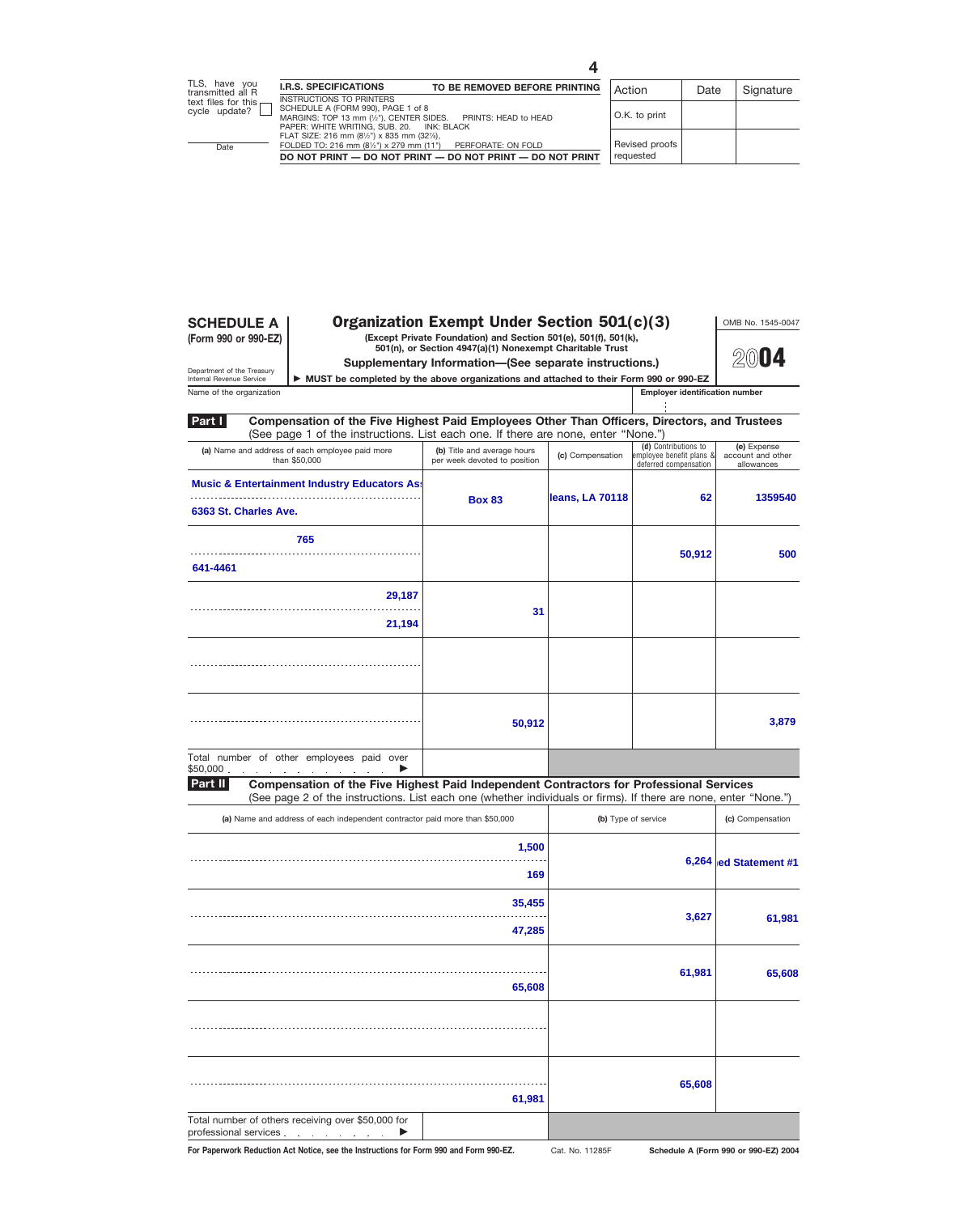**(Form 990 or 990-EZ)**

# **SCHEDULE A** | **Organization Exempt Under Section 501(c)(3)** | OMB No. 1545-0047

**(Except Private Foundation) and Section 501(e), 501(f), 501(k), 501(n), or Section 4947(a)(1) Nonexempt Charitable Trust**

**Supplementary Information—(See separate instructions.)**

**2004**

Department of the Treasury<br>Internal Revenue Service

▶ MUST be completed by the above organizations and attached to their Form 990 or 990-EZ

Name of the organization **Employer identification number Employer identification number** 

| Part I<br>Compensation of the Five Highest Paid Employees Other Than Officers, Directors, and Trustees<br>(See page 1 of the instructions. List each one. If there are none, enter "None.") |                                                             |                  |                                                                           |                                                |
|---------------------------------------------------------------------------------------------------------------------------------------------------------------------------------------------|-------------------------------------------------------------|------------------|---------------------------------------------------------------------------|------------------------------------------------|
| (a) Name and address of each employee paid more<br>than \$50,000                                                                                                                            | (b) Title and average hours<br>per week devoted to position | (c) Compensation | (d) Contributions to<br>employee benefit plans &<br>deferred compensation | (e) Expense<br>account and other<br>allowances |
| <b>Music &amp; Entertainment Industry Educators As:</b>                                                                                                                                     | <b>Box 83</b>                                               | leans, LA 70118  | 62                                                                        | 1359540                                        |
| 6363 St. Charles Ave.                                                                                                                                                                       |                                                             |                  |                                                                           |                                                |
| 765                                                                                                                                                                                         |                                                             |                  | 50,912                                                                    | 500                                            |
| 641-4461                                                                                                                                                                                    |                                                             |                  |                                                                           |                                                |
| 29,187                                                                                                                                                                                      | 31                                                          |                  |                                                                           |                                                |
| 21,194                                                                                                                                                                                      |                                                             |                  |                                                                           |                                                |
|                                                                                                                                                                                             |                                                             |                  |                                                                           |                                                |
|                                                                                                                                                                                             | 50,912                                                      |                  |                                                                           | 3,879                                          |
| Total number of other employees paid over<br>\$50,000                                                                                                                                       |                                                             |                  |                                                                           |                                                |

**Compensation of the Five Highest Paid Independent Contractors for Professional Services** (See page 2 of the instructions. List each one (whether individuals or firms). If there are none, enter "None.") **Part II**

| (a) Name and address of each independent contractor paid more than \$50,000   | (b) Type of service | (c) Compensation |                       |  |  |  |  |  |
|-------------------------------------------------------------------------------|---------------------|------------------|-----------------------|--|--|--|--|--|
|                                                                               | 1,500<br>169        |                  | 6,264 ed Statement #1 |  |  |  |  |  |
|                                                                               | 35,455              | 3,627            | 61,981                |  |  |  |  |  |
|                                                                               | 47,285              |                  |                       |  |  |  |  |  |
|                                                                               | 65,608              | 61,981           | 65,608                |  |  |  |  |  |
|                                                                               |                     |                  |                       |  |  |  |  |  |
|                                                                               | 61,981              | 65,608           |                       |  |  |  |  |  |
| Total number of others receiving over \$50,000 for<br>professional services ▶ |                     |                  |                       |  |  |  |  |  |

Cat. No. 11285F

For Paperwork Reduction Act Notice, see the Instructions for Form 990 and Form 990-EZ. Cat. No. 11285F Schedule A (Form 990 or 990-EZ) 2004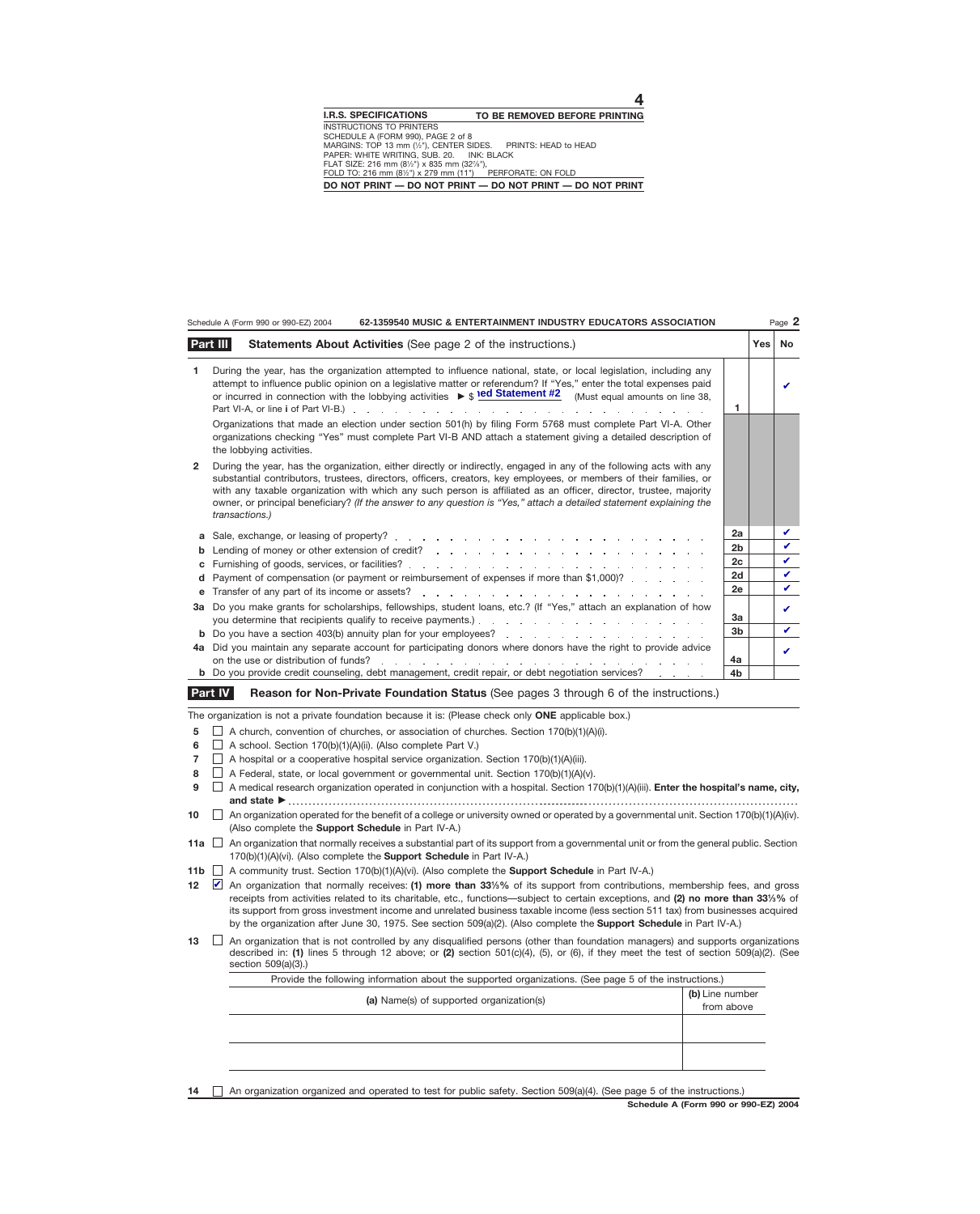|                | 62-1359540 MUSIC & ENTERTAINMENT INDUSTRY EDUCATORS ASSOCIATION<br>Schedule A (Form 990 or 990-EZ) 2004                                                                                                                                                                                                                                                                                                                                                                                                  |                |     | Page 2      |
|----------------|----------------------------------------------------------------------------------------------------------------------------------------------------------------------------------------------------------------------------------------------------------------------------------------------------------------------------------------------------------------------------------------------------------------------------------------------------------------------------------------------------------|----------------|-----|-------------|
|                | Part III<br>Statements About Activities (See page 2 of the instructions.)                                                                                                                                                                                                                                                                                                                                                                                                                                |                | Yes | No          |
| 1.             | During the year, has the organization attempted to influence national, state, or local legislation, including any<br>attempt to influence public opinion on a legislative matter or referendum? If "Yes," enter the total expenses paid<br>or incurred in connection with the lobbying activities $\triangleright$ $\uparrow$ <b>ed Statement #2</b> (Must equal amounts on line 38,                                                                                                                     | 1              |     | ✓           |
|                | Organizations that made an election under section 501(h) by filing Form 5768 must complete Part VI-A. Other<br>organizations checking "Yes" must complete Part VI-B AND attach a statement giving a detailed description of<br>the lobbying activities.                                                                                                                                                                                                                                                  |                |     |             |
| $\overline{2}$ | During the year, has the organization, either directly or indirectly, engaged in any of the following acts with any<br>substantial contributors, trustees, directors, officers, creators, key employees, or members of their families, or<br>with any taxable organization with which any such person is affiliated as an officer, director, trustee, majority<br>owner, or principal beneficiary? (If the answer to any question is "Yes," attach a detailed statement explaining the<br>transactions.) |                |     |             |
| a              |                                                                                                                                                                                                                                                                                                                                                                                                                                                                                                          | 2a             |     | V           |
| b              |                                                                                                                                                                                                                                                                                                                                                                                                                                                                                                          | 2 <sub>b</sub> |     | V           |
| c              |                                                                                                                                                                                                                                                                                                                                                                                                                                                                                                          | 2c             |     | V           |
| d              | Payment of compensation (or payment or reimbursement of expenses if more than \$1,000)?                                                                                                                                                                                                                                                                                                                                                                                                                  | 2d             |     | $\mathbf v$ |
| е              |                                                                                                                                                                                                                                                                                                                                                                                                                                                                                                          | 2e             |     | $\mathbf v$ |
| За             | Do you make grants for scholarships, fellowships, student loans, etc.? (If "Yes," attach an explanation of how                                                                                                                                                                                                                                                                                                                                                                                           | 3a             |     | ✓           |
|                | <b>b</b> Do you have a section 403(b) annuity plan for your employees?                                                                                                                                                                                                                                                                                                                                                                                                                                   | 3 <sub>b</sub> |     | ✓           |
| 4a             | Did you maintain any separate account for participating donors where donors have the right to provide advice<br>on the use or distribution of funds?<br>the contract of the contract of the contract of the contract of the contract of the contract of the contract of                                                                                                                                                                                                                                  | 4a             |     | ✓           |
|                | <b>b</b> Do you provide credit counseling, debt management, credit repair, or debt negotiation services?                                                                                                                                                                                                                                                                                                                                                                                                 | 4 <sub>b</sub> |     |             |
|                | <b>Part IV</b><br>Reason for Non-Private Foundation Status (See pages 3 through 6 of the instructions.)                                                                                                                                                                                                                                                                                                                                                                                                  |                |     |             |

The organization is not a private foundation because it is: (Please check only **ONE** applicable box.)

**5**  $\Box$  A church, convention of churches, or association of churches. Section 170(b)(1)(A)(i).

**6**  $\Box$  A school. Section 170(b)(1)(A)(ii). (Also complete Part V.)

**7**  $\Box$  A hospital or a cooperative hospital service organization. Section 170(b)(1)(A)(iii).

**8**  $\Box$  A Federal, state, or local government or governmental unit. Section 170(b)(1)(A)(v).

 $\Box$  A medical research organization operated in conjunction with a hospital. Section 170(b)(1)(A)(iii). **Enter the hospital's name, city, and state 9**

 $\Box$  An organization operated for the benefit of a college or university owned or operated by a governmental unit. Section 170(b)(1)(A)(iv). (Also complete the **Support Schedule** in Part IV-A.) **10**

An organization that normally receives a substantial part of its support from a governmental unit or from the general public. Section **11a** 170(b)(1)(A)(vi). (Also complete the **Support Schedule** in Part IV-A.)

**11b** A community trust. Section 170(b)(1)(A)(vi). (Also complete the **Support Schedule** in Part IV-A.)

▲ An organization that normally receives: (1) more than 33<sup>1/3</sup>% of its support from contributions, membership fees, and gross receipts from activities related to its charitable, etc., functions—subject to certain exceptions, and **(2) no more than 331⁄3%** of its support from gross investment income and unrelated business taxable income (less section 511 tax) from businesses acquired by the organization after June 30, 1975. See section 509(a)(2). (Also complete the **Support Schedule** in Part IV-A.) **12**

 $\Box$  An organization that is not controlled by any disqualified persons (other than foundation managers) and supports organizations described in: **(1)** lines 5 through 12 above; or **(2)** section 501(c)(4), (5), or (6), if they meet the test of section 509(a)(2). (See section 509(a)(3).) **13**

| Provide the following information about the supported organizations. (See page 5 of the instructions.) |                               |  |  |  |  |  |  |  |  |
|--------------------------------------------------------------------------------------------------------|-------------------------------|--|--|--|--|--|--|--|--|
| (a) Name(s) of supported organization(s)                                                               | (b) Line number<br>from above |  |  |  |  |  |  |  |  |
|                                                                                                        |                               |  |  |  |  |  |  |  |  |
|                                                                                                        |                               |  |  |  |  |  |  |  |  |
|                                                                                                        |                               |  |  |  |  |  |  |  |  |

**14** An organization organized and operated to test for public safety. Section 509(a)(4). (See page 5 of the instructions.)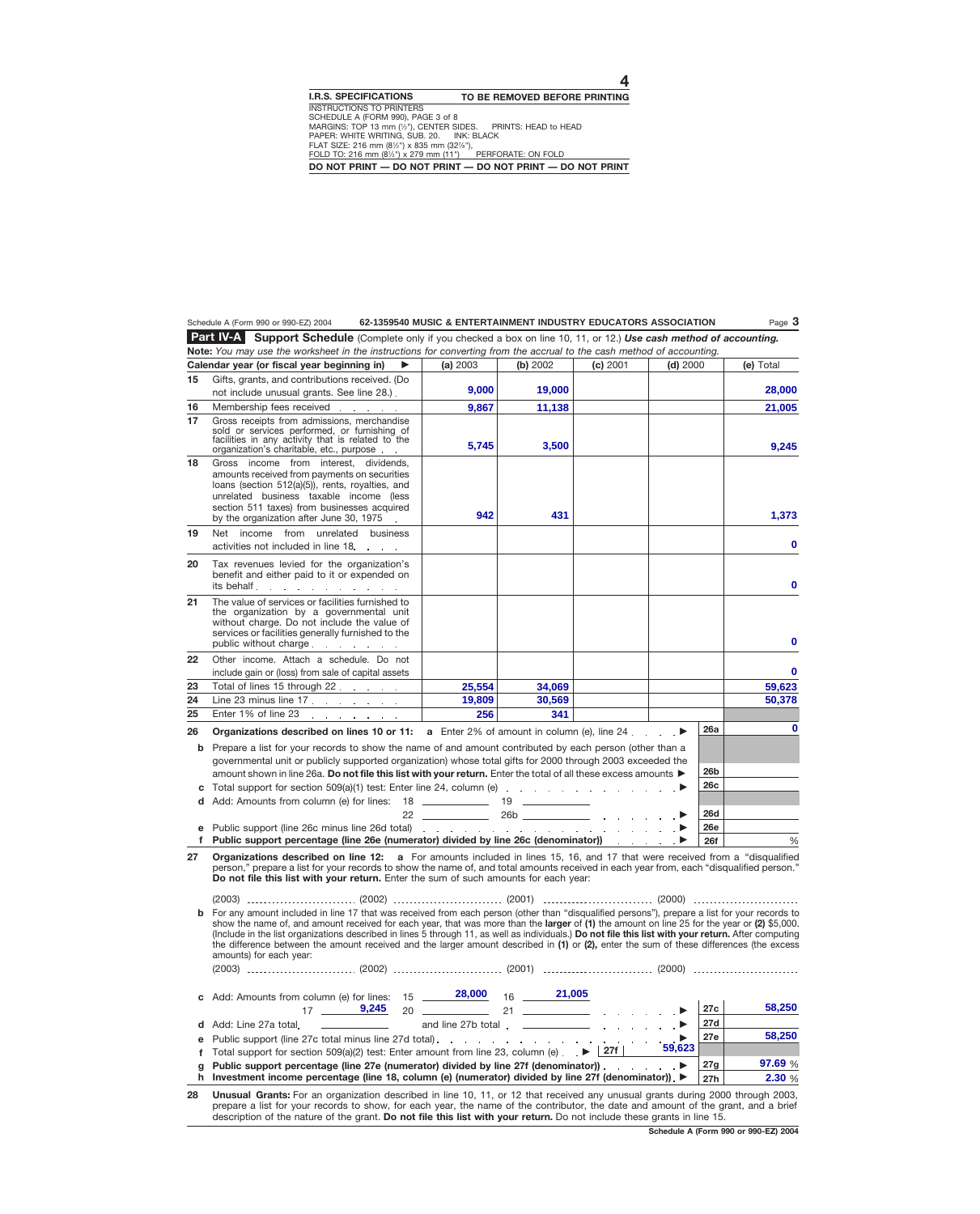### Schedule A (Form 990 or 990-EZ) 2004 **62-1359540 MUSIC & ENTERTAINMENT INDUSTRY EDUCATORS ASSOCIATION** Page **3**

**Support Schedule** (Complete only if you checked a box on line 10, 11, or 12.) *Use cash method of accounting.* **Part IV-A Note:** *You may use the worksheet in the instructions for converting from the accrual to the cash method of accounting.*

|        | <b>NOLE:</b> You may use the worksheet in the instructions for convening from the accruanto the cash method of accounting.<br>Calendar year (or fiscal year beginning in)<br>▶                                                                                                                                                                                                                                                                                                                                                                                                                                                        | (a) 2003                                                           | (b) 2002 | (c) 2001 | $(d)$ 2000 |            | (e) Total   |
|--------|---------------------------------------------------------------------------------------------------------------------------------------------------------------------------------------------------------------------------------------------------------------------------------------------------------------------------------------------------------------------------------------------------------------------------------------------------------------------------------------------------------------------------------------------------------------------------------------------------------------------------------------|--------------------------------------------------------------------|----------|----------|------------|------------|-------------|
| 15     | Gifts, grants, and contributions received. (Do                                                                                                                                                                                                                                                                                                                                                                                                                                                                                                                                                                                        |                                                                    |          |          |            |            |             |
|        | not include unusual grants. See line 28.).                                                                                                                                                                                                                                                                                                                                                                                                                                                                                                                                                                                            | 9,000                                                              | 19,000   |          |            |            | 28,000      |
| 16     | Membership fees received                                                                                                                                                                                                                                                                                                                                                                                                                                                                                                                                                                                                              | 9,867                                                              | 11,138   |          |            |            | 21,005      |
| 17     | Gross receipts from admissions, merchandise<br>sold or services performed, or furnishing of<br>facilities in any activity that is related to the<br>organization's charitable, etc., purpose                                                                                                                                                                                                                                                                                                                                                                                                                                          | 5,745                                                              | 3,500    |          |            |            | 9,245       |
| 18     | Gross income from interest, dividends,<br>amounts received from payments on securities<br>loans (section 512(a)(5)), rents, royalties, and<br>unrelated business taxable income (less<br>section 511 taxes) from businesses acquired<br>by the organization after June 30, 1975                                                                                                                                                                                                                                                                                                                                                       | 942                                                                | 431      |          |            |            | 1,373       |
| 19     | Net income from unrelated<br>business<br>activities not included in line 18.<br>$\sim$ $\sim$                                                                                                                                                                                                                                                                                                                                                                                                                                                                                                                                         |                                                                    |          |          |            |            | $\bf{0}$    |
| 20     | Tax revenues levied for the organization's<br>benefit and either paid to it or expended on<br>its behalf                                                                                                                                                                                                                                                                                                                                                                                                                                                                                                                              |                                                                    |          |          |            |            | $\mathbf 0$ |
| 21     | The value of services or facilities furnished to<br>the organization by a governmental unit<br>without charge. Do not include the value of<br>services or facilities generally furnished to the<br>public without charge                                                                                                                                                                                                                                                                                                                                                                                                              |                                                                    |          |          |            |            | $\bf{0}$    |
| 22     | Other income. Attach a schedule. Do not<br>include gain or (loss) from sale of capital assets                                                                                                                                                                                                                                                                                                                                                                                                                                                                                                                                         |                                                                    |          |          |            |            | $\bf{0}$    |
| 23     | Total of lines 15 through 22.                                                                                                                                                                                                                                                                                                                                                                                                                                                                                                                                                                                                         | 25,554                                                             | 34,069   |          |            |            | 59,623      |
| 24     | Line 23 minus line $17 \cdot 11 \cdot 11 \cdot 11 \cdot 11$                                                                                                                                                                                                                                                                                                                                                                                                                                                                                                                                                                           | 19,809                                                             | 30,569   |          |            |            | 50,378      |
| 25     | Enter 1% of line 23<br>the contract of the contract of                                                                                                                                                                                                                                                                                                                                                                                                                                                                                                                                                                                | 256                                                                | 341      |          |            |            |             |
| 26     | <b>Organizations described on lines 10 or 11:</b> a Enter 2% of amount in column (e), line 24 $\ldots$                                                                                                                                                                                                                                                                                                                                                                                                                                                                                                                                |                                                                    |          |          |            | <b>26a</b> | 0           |
| b      | Prepare a list for your records to show the name of and amount contributed by each person (other than a<br>governmental unit or publicly supported organization) whose total gifts for 2000 through 2003 exceeded the<br>amount shown in line 26a. Do not file this list with your return. Enter the total of all these excess amounts $\blacktriangleright$                                                                                                                                                                                                                                                                          |                                                                    | 26b      |          |            |            |             |
|        |                                                                                                                                                                                                                                                                                                                                                                                                                                                                                                                                                                                                                                       |                                                                    |          |          |            | 26c        |             |
| d      | Add: Amounts from column (e) for lines: 18 _____________ 19 _____________                                                                                                                                                                                                                                                                                                                                                                                                                                                                                                                                                             |                                                                    |          |          |            | 26d        |             |
| е      |                                                                                                                                                                                                                                                                                                                                                                                                                                                                                                                                                                                                                                       |                                                                    |          |          |            | <b>26e</b> |             |
| f      | Public support percentage (line 26e (numerator) divided by line 26c (denominator)) entitled by line 26c (denominator)                                                                                                                                                                                                                                                                                                                                                                                                                                                                                                                 |                                                                    |          |          |            | <b>26f</b> | %           |
| 27     | Organizations described on line 12: a For amounts included in lines 15, 16, and 17 that were received from a "disqualified<br>person," prepare a list for your records to show the name of, and total amounts received in each year from, each "disqualified person."<br><b>Do not file this list with your return.</b> Enter the sum of such amounts for each year:                                                                                                                                                                                                                                                                  |                                                                    |          |          |            |            |             |
|        |                                                                                                                                                                                                                                                                                                                                                                                                                                                                                                                                                                                                                                       |                                                                    |          |          |            |            |             |
|        | <b>b</b> For any amount included in line 17 that was received from each person (other than "disqualified persons"), prepare a list for your records to<br>show the name of, and amount received for each year, that was more than the larger of (1) the amount on line 25 for the year or (2) \$5,000.<br>(Include in the list organizations described in lines 5 through 11, as well as individuals.) Do not file this list with your return. After computing<br>the difference between the amount received and the larger amount described in (1) or (2), enter the sum of these differences (the excess<br>amounts) for each year: |                                                                    |          |          |            |            |             |
|        | c Add: Amounts from column (e) for lines: $15 \underline{\hspace{1cm} 28,000}$ $16 \underline{\hspace{1cm} 21,005}$<br>17 $\frac{9,245}{20}$ 20 21 21                                                                                                                                                                                                                                                                                                                                                                                                                                                                                 |                                                                    |          |          |            | 27c        | 58,250      |
|        | <u> The Community of the Community of the Community of the Community of the Community of the Community of the Community of the Community of the Community of the Community of the Community of the Community of the Community of</u>                                                                                                                                                                                                                                                                                                                                                                                                  | and line 27b total $\qquad \qquad$ $\qquad \qquad$ $\qquad \qquad$ |          |          |            | 27d        |             |
| d      | Add: Line 27a total.                                                                                                                                                                                                                                                                                                                                                                                                                                                                                                                                                                                                                  |                                                                    |          |          |            | 27e        | 58,250      |
| е<br>f | Public support (line 27c total minus line 27d total).<br>Total support for section 509(a)(2) test: Enter amount from line 23, column (e) $\mathbb{R}$ $\blacktriangleright$ $\lfloor 27f \rfloor$                                                                                                                                                                                                                                                                                                                                                                                                                                     |                                                                    |          |          |            |            |             |
| g      | Public support percentage (line 27e (numerator) divided by line 27f (denominator)) entertain-                                                                                                                                                                                                                                                                                                                                                                                                                                                                                                                                         |                                                                    |          |          |            | 27g        | 97.69 %     |
| h.     | Investment income percentage (line 18, column (e) (numerator) divided by line 27f (denominator)). ▶                                                                                                                                                                                                                                                                                                                                                                                                                                                                                                                                   |                                                                    |          |          |            | 27h        | 2.30 %      |

**28 Unusual Grants:** For an organization described in line 10, 11, or 12 that received any unusual grants during 2000 through 2003, prepare a list for your records to show, for each year, the name of the contributor, the date and amount of the grant, and a brief description of the nature of the grant. **Do not file this list with your return.** Do not include these grants in line 15.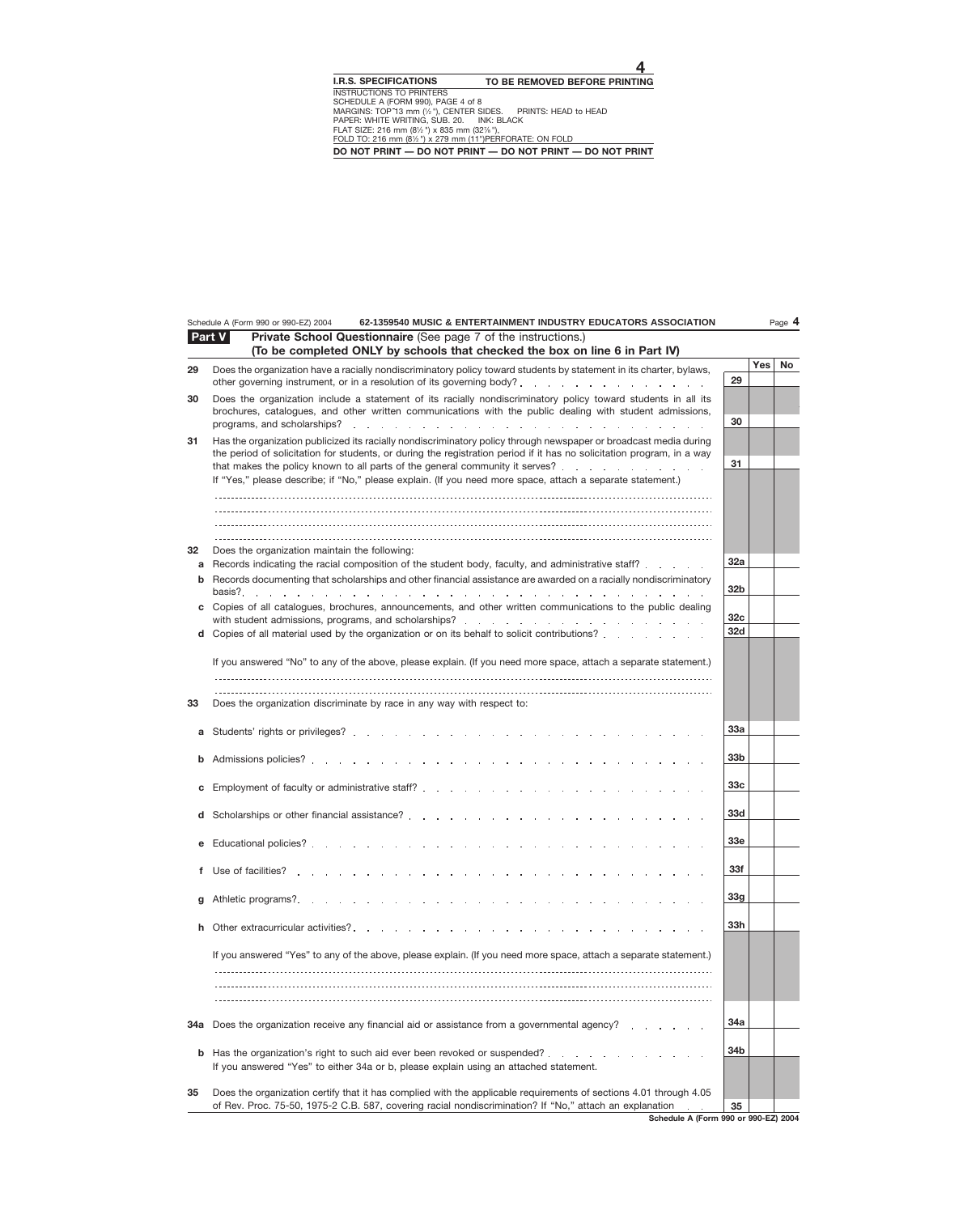|              | 62-1359540 MUSIC & ENTERTAINMENT INDUSTRY EDUCATORS ASSOCIATION<br>Schedule A (Form 990 or 990-EZ) 2004                                                                                                                                                                                                                                                                                                                                                                                                                                                                                                                          |                                                  |            | Page 4 |
|--------------|----------------------------------------------------------------------------------------------------------------------------------------------------------------------------------------------------------------------------------------------------------------------------------------------------------------------------------------------------------------------------------------------------------------------------------------------------------------------------------------------------------------------------------------------------------------------------------------------------------------------------------|--------------------------------------------------|------------|--------|
|              | Part V<br>Private School Questionnaire (See page 7 of the instructions.)<br>(To be completed ONLY by schools that checked the box on line 6 in Part IV)                                                                                                                                                                                                                                                                                                                                                                                                                                                                          |                                                  |            |        |
| 29           | Does the organization have a racially nondiscriminatory policy toward students by statement in its charter, bylaws,                                                                                                                                                                                                                                                                                                                                                                                                                                                                                                              | 29                                               | <b>Yes</b> | No     |
| 30           | Does the organization include a statement of its racially nondiscriminatory policy toward students in all its<br>brochures, catalogues, and other written communications with the public dealing with student admissions,                                                                                                                                                                                                                                                                                                                                                                                                        | 30                                               |            |        |
| 31           | Has the organization publicized its racially nondiscriminatory policy through newspaper or broadcast media during<br>the period of solicitation for students, or during the registration period if it has no solicitation program, in a way<br>that makes the policy known to all parts of the general community it serves?<br>If "Yes," please describe; if "No," please explain. (If you need more space, attach a separate statement.)                                                                                                                                                                                        | 31                                               |            |        |
| 32<br>a<br>b | Does the organization maintain the following:<br>Records indicating the racial composition of the student body, faculty, and administrative staff?<br>Records documenting that scholarships and other financial assistance are awarded on a racially nondiscriminatory                                                                                                                                                                                                                                                                                                                                                           | 32a                                              |            |        |
|              | basis?<br>the contract of the contract of the contract of the contract of the contract of the contract of the contract of the contract of the contract of the contract of the contract of the contract of the contract of the contract o<br>Copies of all catalogues, brochures, announcements, and other written communications to the public dealing<br>with student admissions, programs, and scholarships?<br>The contract of the contract of the students of the students of the students of the students of the students o<br>d Copies of all material used by the organization or on its behalf to solicit contributions? | 32 <sub>b</sub><br>32 <sub>c</sub><br><b>32d</b> |            |        |
| 33           | If you answered "No" to any of the above, please explain. (If you need more space, attach a separate statement.)<br>Does the organization discriminate by race in any way with respect to:                                                                                                                                                                                                                                                                                                                                                                                                                                       |                                                  |            |        |
| а            |                                                                                                                                                                                                                                                                                                                                                                                                                                                                                                                                                                                                                                  | <b>33a</b>                                       |            |        |
|              |                                                                                                                                                                                                                                                                                                                                                                                                                                                                                                                                                                                                                                  | 33 <sub>b</sub>                                  |            |        |
|              | d Scholarships or other financial assistance?                                                                                                                                                                                                                                                                                                                                                                                                                                                                                                                                                                                    | 33c<br>33d                                       |            |        |
|              |                                                                                                                                                                                                                                                                                                                                                                                                                                                                                                                                                                                                                                  | 33e                                              |            |        |
| f            | Use of facilities?                                                                                                                                                                                                                                                                                                                                                                                                                                                                                                                                                                                                               | 33f                                              |            |        |
| g            | Athletic programs?.                                                                                                                                                                                                                                                                                                                                                                                                                                                                                                                                                                                                              | 33 <sub>g</sub><br>33h                           |            |        |
| h.           | Other extracurricular activities?<br>If you answered "Yes" to any of the above, please explain. (If you need more space, attach a separate statement.)                                                                                                                                                                                                                                                                                                                                                                                                                                                                           |                                                  |            |        |
| 34a          | Does the organization receive any financial aid or assistance from a governmental agency?                                                                                                                                                                                                                                                                                                                                                                                                                                                                                                                                        | 34a                                              |            |        |
| b            | Has the organization's right to such aid ever been revoked or suspended?<br>If you answered "Yes" to either 34a or b, please explain using an attached statement.                                                                                                                                                                                                                                                                                                                                                                                                                                                                | 34b                                              |            |        |
| 35           | Does the organization certify that it has complied with the applicable requirements of sections 4.01 through 4.05<br>of Rev. Proc. 75-50, 1975-2 C.B. 587, covering racial nondiscrimination? If "No," attach an explanation                                                                                                                                                                                                                                                                                                                                                                                                     | 35                                               |            |        |

**Schedule A (Form 990 or 990-EZ) 2004**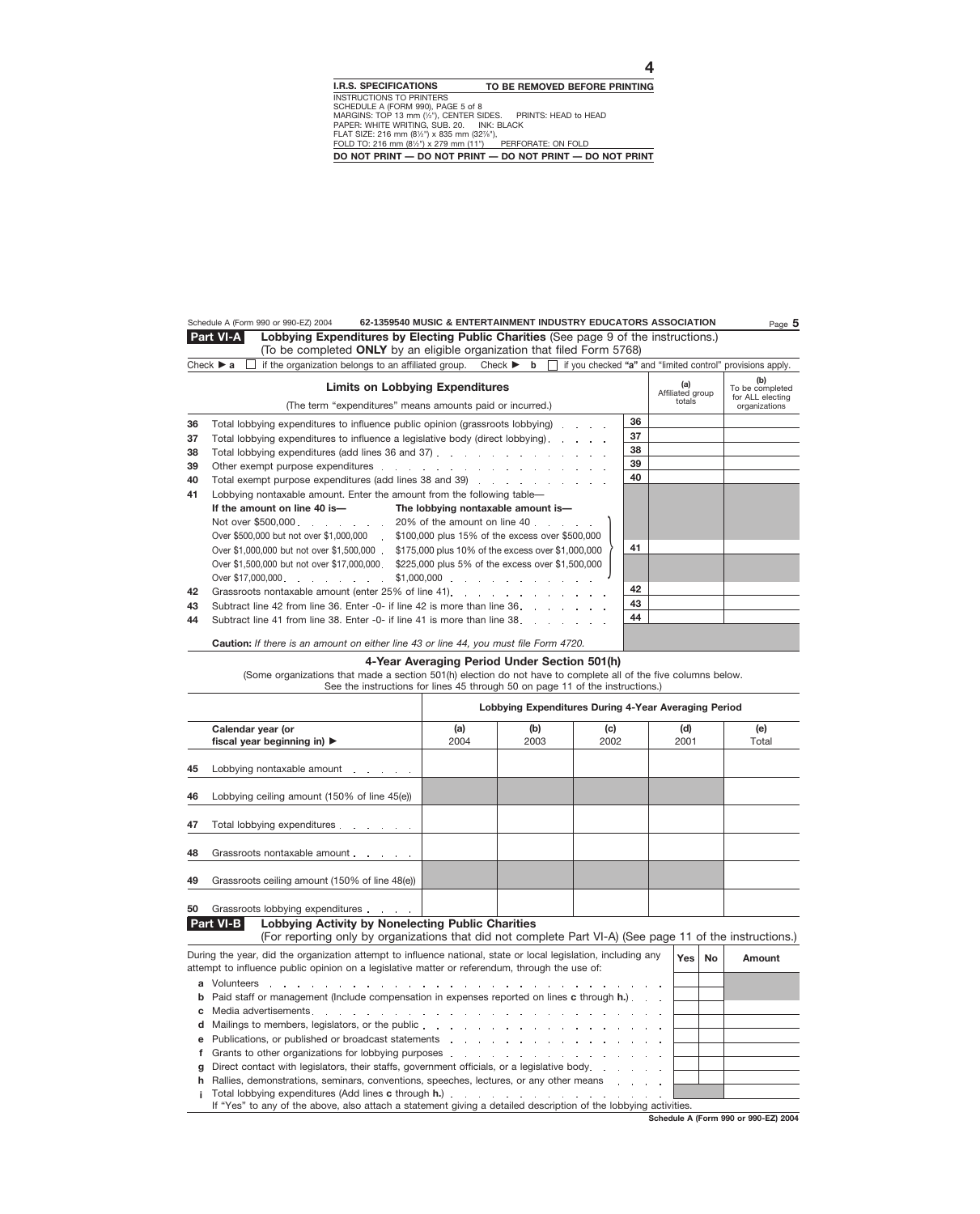#### Schedule A (Form 990 or 990-EZ) 2004 **62-1359540 MUSIC & ENTERTAINMENT INDUSTRY EDUCATORS ASSOCIATION** Page **5**

**Lobbying Expenditures by Electing Public Charities** (See page 9 of the instructions.) (To be completed **ONLY** by an eligible organization that filed Form 5768) **Part VI-A**

|  |  |  |  |  |  | Check ► a $\Box$ if the organization belongs to an affiliated group. Check ► b $\Box$ if you checked "a" and "limited control" provisions apply. |  |
|--|--|--|--|--|--|--------------------------------------------------------------------------------------------------------------------------------------------------|--|
|--|--|--|--|--|--|--------------------------------------------------------------------------------------------------------------------------------------------------|--|

|    | <b>Limits on Lobbying Expenditures</b><br>(The term "expenditures" means amounts paid or incurred.) |    | (a)<br>Affiliated group<br>totals | (b)<br>To be completed<br>for ALL electing<br>organizations |
|----|-----------------------------------------------------------------------------------------------------|----|-----------------------------------|-------------------------------------------------------------|
| 36 | Total lobbying expenditures to influence public opinion (grassroots lobbying)                       | 36 |                                   |                                                             |
| 37 | Total lobbying expenditures to influence a legislative body (direct lobbying).                      | 37 |                                   |                                                             |
| 38 |                                                                                                     | 38 |                                   |                                                             |
| 39 |                                                                                                     | 39 |                                   |                                                             |
| 40 | Total exempt purpose expenditures (add lines 38 and 39)                                             | 40 |                                   |                                                             |
| 41 | Lobbying nontaxable amount. Enter the amount from the following table—                              |    |                                   |                                                             |
|    | If the amount on line 40 is-<br>The lobbying nontaxable amount is-                                  |    |                                   |                                                             |
|    | Not over \$500,000 $\ldots$ $\ldots$ $\ldots$ 20% of the amount on line 40 $\ldots$                 |    |                                   |                                                             |
|    | Over \$500,000 but not over \$1,000,000 \$100,000 plus 15% of the excess over \$500,000             |    |                                   |                                                             |
|    | Over \$1,000,000 but not over \$1,500,000<br>\$175,000 plus 10% of the excess over \$1,000,000      | 41 |                                   |                                                             |
|    | Over \$1,500,000 but not over \$17,000,000<br>\$225,000 plus 5% of the excess over \$1,500,000      |    |                                   |                                                             |
|    |                                                                                                     |    |                                   |                                                             |
| 42 |                                                                                                     | 42 |                                   |                                                             |
| 43 | Subtract line 42 from line 36. Enter -0- if line 42 is more than line 36.                           | 43 |                                   |                                                             |
| 44 | Subtract line 41 from line 38. Enter -0- if line 41 is more than line 38.                           | 44 |                                   |                                                             |
|    | <b>Caution:</b> If there is an amount on either line 43 or line 44, you must file Form 4720.        |    |                                   |                                                             |

#### **4-Year Averaging Period Under Section 501(h)**

(Some organizations that made a section 501(h) election do not have to complete all of the five columns below. See the instructions for lines 45 through 50 on page 11 of the instructions.)

|    | Lobbying Expenditures During 4-Year Averaging Period                                                                                                                                                             |      |      |      |  |      |           |        |  |  |  |  |  |  |
|----|------------------------------------------------------------------------------------------------------------------------------------------------------------------------------------------------------------------|------|------|------|--|------|-----------|--------|--|--|--|--|--|--|
|    | Calendar year (or                                                                                                                                                                                                | (a)  | (b)  | (c)  |  | (d)  |           | (e)    |  |  |  |  |  |  |
|    | fiscal year beginning in) $\blacktriangleright$                                                                                                                                                                  | 2004 | 2003 | 2002 |  | 2001 |           | Total  |  |  |  |  |  |  |
| 45 | Lobbying nontaxable amount                                                                                                                                                                                       |      |      |      |  |      |           |        |  |  |  |  |  |  |
| 46 | Lobbying ceiling amount (150% of line 45(e))                                                                                                                                                                     |      |      |      |  |      |           |        |  |  |  |  |  |  |
| 47 | Total lobbying expenditures                                                                                                                                                                                      |      |      |      |  |      |           |        |  |  |  |  |  |  |
| 48 | Grassroots nontaxable amount                                                                                                                                                                                     |      |      |      |  |      |           |        |  |  |  |  |  |  |
| 49 | Grassroots ceiling amount (150% of line 48(e))                                                                                                                                                                   |      |      |      |  |      |           |        |  |  |  |  |  |  |
| 50 | Grassroots lobbying expenditures expenditures                                                                                                                                                                    |      |      |      |  |      |           |        |  |  |  |  |  |  |
|    | <b>Part VI-B</b><br><b>Lobbying Activity by Nonelecting Public Charities</b><br>(For reporting only by organizations that did not complete Part VI-A) (See page 11 of the instructions.)                         |      |      |      |  |      |           |        |  |  |  |  |  |  |
|    | During the year, did the organization attempt to influence national, state or local legislation, including any<br>attempt to influence public opinion on a legislative matter or referendum, through the use of: |      |      |      |  | Yes  | <b>No</b> | Amount |  |  |  |  |  |  |
| a  | Volunteers<br>and a series of the contract of the contract of the contract of the contract of                                                                                                                    |      |      |      |  |      |           |        |  |  |  |  |  |  |
|    | Paid staff or management (Include compensation in expenses reported on lines c through h.). .                                                                                                                    |      |      |      |  |      |           |        |  |  |  |  |  |  |
|    |                                                                                                                                                                                                                  |      |      |      |  |      |           |        |  |  |  |  |  |  |
|    |                                                                                                                                                                                                                  |      |      |      |  |      |           |        |  |  |  |  |  |  |

| e Publications, or published or broadcast statements entitled as a series of the control of the Published or broadcast statements and a series of the Published or Bullet and Supersy and Supersy and Supersy and Supersy and |  |  |  |  |  |  |  |
|-------------------------------------------------------------------------------------------------------------------------------------------------------------------------------------------------------------------------------|--|--|--|--|--|--|--|
| f Grants to other organizations for lobbying purposes                                                                                                                                                                         |  |  |  |  |  |  |  |

| Grants to other organizations for lobbying purposes entitled and the contract of the contract of the contract o    |  |  |
|--------------------------------------------------------------------------------------------------------------------|--|--|
| <b>g</b> Direct contact with legislators, their staffs, government officials, or a legislative body.               |  |  |
| <b>h</b> Rallies, demonstrations, seminars, conventions, speeches, lectures, or any other means                    |  |  |
| Total lobbying expenditures (Add lines c through h.)                                                               |  |  |
| 10 GV/220 is then of its through the time of the members of the statistical dependent of the following the bibliot |  |  |

If "Yes" to any of the above, also attach a statement giving a detailed description of the lobbying activities.

**Schedule A (Form 990 or 990-EZ) 2004**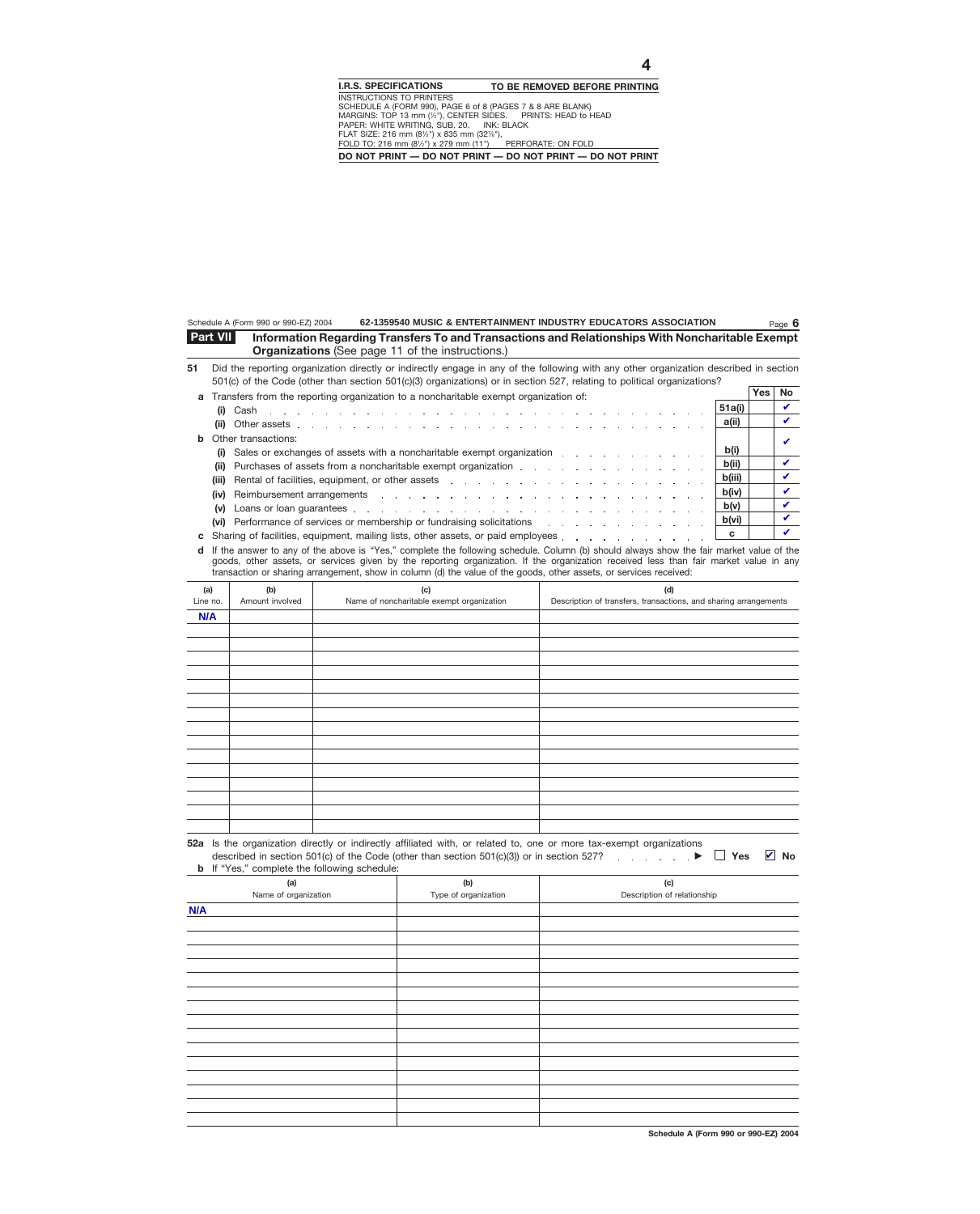| <b>Part VII</b> | Information Regarding Transfers To and Transactions and Relationships With Noncharitable Exempt |
|-----------------|-------------------------------------------------------------------------------------------------|
|                 | <b>Organizations</b> (See page 11 of the instructions.)                                         |

**51** Did the reporting organization directly or indirectly engage in any of the following with any other organization described in section 501(c) of the Code (other than section 501(c)(3) organizations) or in section 527, relating to political organizations?

| a Transfers from the reporting organization to a noncharitable exempt organization of:                                                                                                                                                  |        |  |  |
|-----------------------------------------------------------------------------------------------------------------------------------------------------------------------------------------------------------------------------------------|--------|--|--|
| (i)                                                                                                                                                                                                                                     | 51a(i) |  |  |
|                                                                                                                                                                                                                                         | a(ii)  |  |  |
| <b>b</b> Other transactions:                                                                                                                                                                                                            |        |  |  |
| (i) Sales or exchanges of assets with a noncharitable exempt organization                                                                                                                                                               | b(i)   |  |  |
| b(ii)<br>Purchases of assets from a noncharitable exempt organization entity and an entity of the set of the set of the<br>(ii)                                                                                                         |        |  |  |
| Rental of facilities, equipment, or other assets entering the state of the state of the state of the state of the state of the state of the state of the state of the state of the state of the state of the state of the stat<br>(iii) | b(iii) |  |  |
|                                                                                                                                                                                                                                         | b(iv)  |  |  |
| (v)                                                                                                                                                                                                                                     | b(v)   |  |  |
| (vi) Performance of services or membership or fundraising solicitations [1] No. 1] [1] Network of the contract of the contract of the contract of the contract of the contract of the contract of the contract of the contract          | b(vi)  |  |  |
|                                                                                                                                                                                                                                         |        |  |  |

If the answer to any of the above is "Yes," complete the following schedule. Column (b) should always show the fair market value of the **d** goods, other assets, or services given by the reporting organization. If the organization received less than fair market value in any transaction or sharing arrangement, show in column (d) the value of the goods, other assets, or services received:

| (a)      | (b)             | (c)                                       | (d)                                                              |
|----------|-----------------|-------------------------------------------|------------------------------------------------------------------|
| Line no. | Amount involved | Name of noncharitable exempt organization | Description of transfers, transactions, and sharing arrangements |
| N/A      |                 |                                           |                                                                  |
|          |                 |                                           |                                                                  |
|          |                 |                                           |                                                                  |
|          |                 |                                           |                                                                  |
|          |                 |                                           |                                                                  |
|          |                 |                                           |                                                                  |
|          |                 |                                           |                                                                  |
|          |                 |                                           |                                                                  |
|          |                 |                                           |                                                                  |
|          |                 |                                           |                                                                  |
|          |                 |                                           |                                                                  |
|          |                 |                                           |                                                                  |
|          |                 |                                           |                                                                  |
|          |                 |                                           |                                                                  |
|          |                 |                                           |                                                                  |
|          |                 |                                           |                                                                  |

| 52a Is the organization directly or indirectly affiliated with, or related to, one or more tax-exempt organizations                |  |
|------------------------------------------------------------------------------------------------------------------------------------|--|
| described in section 501(c) of the Code (other than section 501(c)(3)) or in section 527? $\blacktriangleright \Box$ Yes $\Box$ No |  |
| <b>b</b> If "Yes," complete the following schedule:                                                                                |  |

| (a)                  | (b)                  | (c)                         |
|----------------------|----------------------|-----------------------------|
| Name of organization | Type of organization | Description of relationship |
| N/A                  |                      |                             |
|                      |                      |                             |
|                      |                      |                             |
|                      |                      |                             |
|                      |                      |                             |
|                      |                      |                             |
|                      |                      |                             |
|                      |                      |                             |
|                      |                      |                             |
|                      |                      |                             |
|                      |                      |                             |
|                      |                      |                             |
|                      |                      |                             |
|                      |                      |                             |
|                      |                      |                             |
|                      |                      |                             |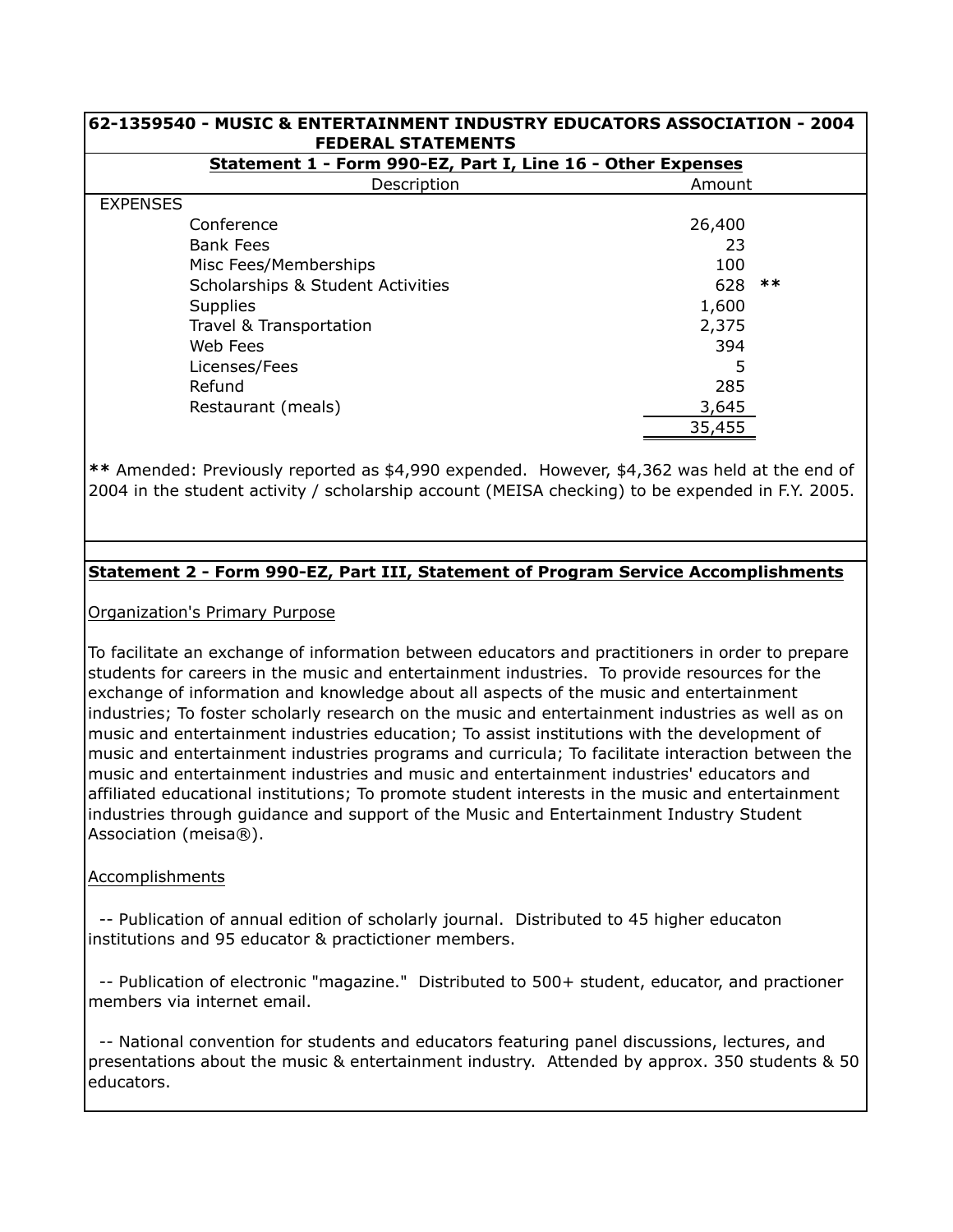| 62-1359540 - MUSIC & ENTERTAINMENT INDUSTRY EDUCATORS ASSOCIATION - 2004 <br><b>FEDERAL STATEMENTS</b> |        |       |  |  |
|--------------------------------------------------------------------------------------------------------|--------|-------|--|--|
| Statement 1 - Form 990-EZ, Part I, Line 16 - Other Expenses                                            |        |       |  |  |
| Description<br>Amount                                                                                  |        |       |  |  |
| <b>EXPENSES</b>                                                                                        |        |       |  |  |
| Conference                                                                                             | 26,400 |       |  |  |
| <b>Bank Fees</b>                                                                                       | 23     |       |  |  |
| Misc Fees/Memberships                                                                                  | 100    |       |  |  |
| Scholarships & Student Activities                                                                      | 628    | $***$ |  |  |
| <b>Supplies</b>                                                                                        | 1,600  |       |  |  |
| Travel & Transportation                                                                                | 2,375  |       |  |  |
| Web Fees                                                                                               | 394    |       |  |  |
| Licenses/Fees                                                                                          | 5      |       |  |  |
| Refund                                                                                                 | 285    |       |  |  |
| Restaurant (meals)                                                                                     | 3,645  |       |  |  |
|                                                                                                        | 35,455 |       |  |  |

**\*\*** Amended: Previously reported as \$4,990 expended. However, \$4,362 was held at the end of 2004 in the student activity / scholarship account (MEISA checking) to be expended in F.Y. 2005.

## **Statement 2 - Form 990-EZ, Part III, Statement of Program Service Accomplishments**

Organization's Primary Purpose

To facilitate an exchange of information between educators and practitioners in order to prepare students for careers in the music and entertainment industries. To provide resources for the exchange of information and knowledge about all aspects of the music and entertainment industries; To foster scholarly research on the music and entertainment industries as well as on music and entertainment industries education; To assist institutions with the development of music and entertainment industries programs and curricula; To facilitate interaction between the music and entertainment industries and music and entertainment industries' educators and affiliated educational institutions; To promote student interests in the music and entertainment industries through guidance and support of the Music and Entertainment Industry Student Association (meisa®).

## Accomplishments

 -- Publication of annual edition of scholarly journal. Distributed to 45 higher educaton institutions and 95 educator & practictioner members.

 -- Publication of electronic "magazine." Distributed to 500+ student, educator, and practioner members via internet email.

 -- National convention for students and educators featuring panel discussions, lectures, and presentations about the music & entertainment industry. Attended by approx. 350 students & 50 educators.